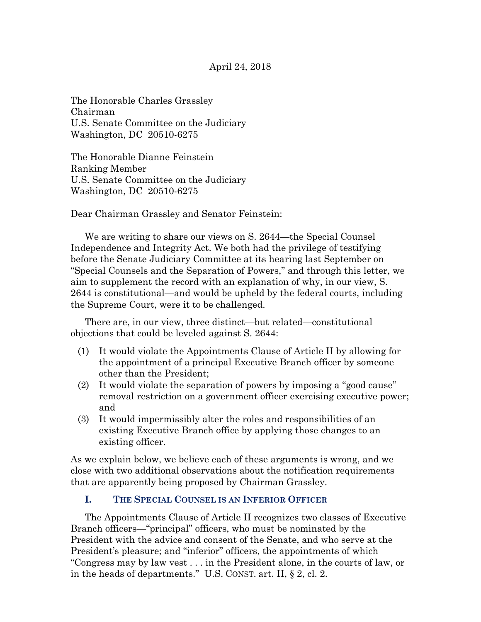The Honorable Charles Grassley Chairman U.S. Senate Committee on the Judiciary Washington, DC 20510-6275

The Honorable Dianne Feinstein Ranking Member U.S. Senate Committee on the Judiciary Washington, DC 20510-6275

Dear Chairman Grassley and Senator Feinstein:

We are writing to share our views on S. 2644—the Special Counsel Independence and Integrity Act. We both had the privilege of testifying before the Senate Judiciary Committee at its hearing last September on "Special Counsels and the Separation of Powers," and through this letter, we aim to supplement the record with an explanation of why, in our view, S. 2644 is constitutional—and would be upheld by the federal courts, including the Supreme Court, were it to be challenged.

There are, in our view, three distinct—but related—constitutional objections that could be leveled against S. 2644:

- (1) It would violate the Appointments Clause of Article II by allowing for the appointment of a principal Executive Branch officer by someone other than the President;
- (2) It would violate the separation of powers by imposing a "good cause" removal restriction on a government officer exercising executive power; and
- (3) It would impermissibly alter the roles and responsibilities of an existing Executive Branch office by applying those changes to an existing officer.

As we explain below, we believe each of these arguments is wrong, and we close with two additional observations about the notification requirements that are apparently being proposed by Chairman Grassley.

# **I. THE SPECIAL COUNSEL IS AN INFERIOR OFFICER**

The Appointments Clause of Article II recognizes two classes of Executive Branch officers—"principal" officers, who must be nominated by the President with the advice and consent of the Senate, and who serve at the President's pleasure; and "inferior" officers, the appointments of which "Congress may by law vest . . . in the President alone, in the courts of law, or in the heads of departments." U.S. CONST. art. II, § 2, cl. 2.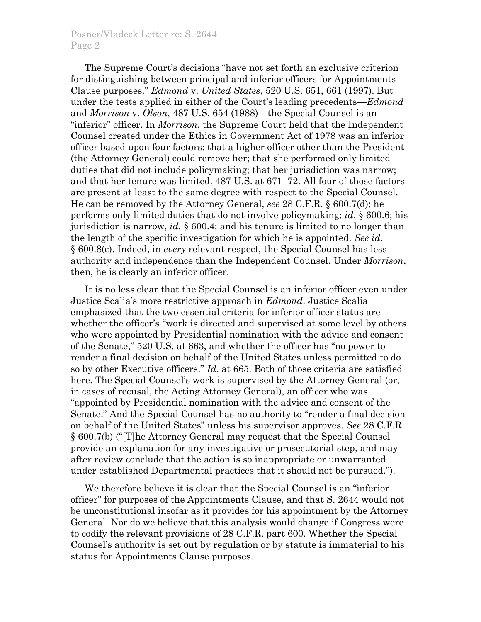### Posner/Vladeck Letter re: S. 2644 Page 2

The Supreme Court's decisions "have not set forth an exclusive criterion for distinguishing between principal and inferior officers for Appointments Clause purposes." *Edmond* v. *United States*, 520 U.S. 651, 661 (1997). But under the tests applied in either of the Court's leading precedents—*Edmond*  and *Morrison* v. *Olson*, 487 U.S. 654 (1988)—the Special Counsel is an "inferior" officer. In *Morrison*, the Supreme Court held that the Independent Counsel created under the Ethics in Government Act of 1978 was an inferior officer based upon four factors: that a higher officer other than the President (the Attorney General) could remove her; that she performed only limited duties that did not include policymaking; that her jurisdiction was narrow; and that her tenure was limited. 487 U.S. at 671–72. All four of those factors are present at least to the same degree with respect to the Special Counsel. He can be removed by the Attorney General, *see* 28 C.F.R. § 600.7(d); he performs only limited duties that do not involve policymaking; *id*. § 600.6; his jurisdiction is narrow, *id.* § 600.4; and his tenure is limited to no longer than the length of the specific investigation for which he is appointed. *See id*. § 600.8(c). Indeed, in *every* relevant respect, the Special Counsel has less authority and independence than the Independent Counsel. Under *Morrison*, then, he is clearly an inferior officer.

It is no less clear that the Special Counsel is an inferior officer even under Justice Scalia's more restrictive approach in *Edmond*. Justice Scalia emphasized that the two essential criteria for inferior officer status are whether the officer's "work is directed and supervised at some level by others who were appointed by Presidential nomination with the advice and consent of the Senate," 520 U.S. at 663, and whether the officer has "no power to render a final decision on behalf of the United States unless permitted to do so by other Executive officers." *Id*. at 665. Both of those criteria are satisfied here. The Special Counsel's work is supervised by the Attorney General (or, in cases of recusal, the Acting Attorney General), an officer who was "appointed by Presidential nomination with the advice and consent of the Senate." And the Special Counsel has no authority to "render a final decision on behalf of the United States" unless his supervisor approves. *See* 28 C.F.R. § 600.7(b) ("[T]he Attorney General may request that the Special Counsel provide an explanation for any investigative or prosecutorial step, and may after review conclude that the action is so inappropriate or unwarranted under established Departmental practices that it should not be pursued.").

We therefore believe it is clear that the Special Counsel is an "inferior officer" for purposes of the Appointments Clause, and that S. 2644 would not be unconstitutional insofar as it provides for his appointment by the Attorney General. Nor do we believe that this analysis would change if Congress were to codify the relevant provisions of 28 C.F.R. part 600. Whether the Special Counsel's authority is set out by regulation or by statute is immaterial to his status for Appointments Clause purposes.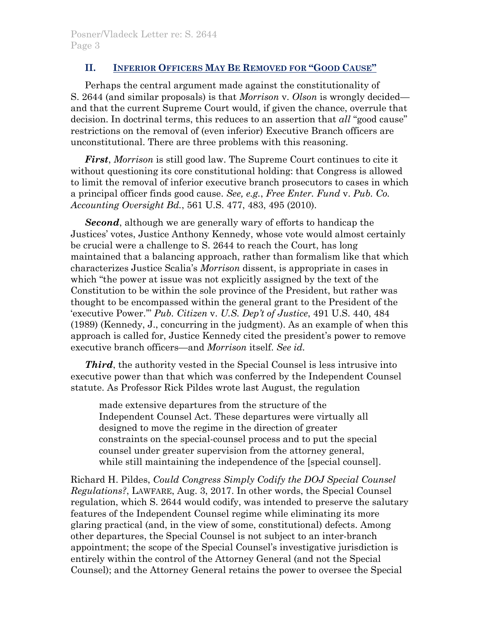# **II. INFERIOR OFFICERS MAY BE REMOVED FOR "GOOD CAUSE"**

Perhaps the central argument made against the constitutionality of S. 2644 (and similar proposals) is that *Morrison* v. *Olson* is wrongly decided and that the current Supreme Court would, if given the chance, overrule that decision. In doctrinal terms, this reduces to an assertion that *all* "good cause" restrictions on the removal of (even inferior) Executive Branch officers are unconstitutional. There are three problems with this reasoning.

*First*, *Morrison* is still good law. The Supreme Court continues to cite it without questioning its core constitutional holding: that Congress is allowed to limit the removal of inferior executive branch prosecutors to cases in which a principal officer finds good cause. *See, e.g.*, *Free Enter. Fund* v. *Pub. Co. Accounting Oversight Bd.*, 561 U.S. 477, 483, 495 (2010).

*Second*, although we are generally wary of efforts to handicap the Justices' votes, Justice Anthony Kennedy, whose vote would almost certainly be crucial were a challenge to S. 2644 to reach the Court, has long maintained that a balancing approach, rather than formalism like that which characterizes Justice Scalia's *Morrison* dissent, is appropriate in cases in which "the power at issue was not explicitly assigned by the text of the Constitution to be within the sole province of the President, but rather was thought to be encompassed within the general grant to the President of the 'executive Power.'" *Pub. Citizen* v. *U.S. Dep't of Justice*, 491 U.S. 440, 484 (1989) (Kennedy, J., concurring in the judgment). As an example of when this approach is called for, Justice Kennedy cited the president's power to remove executive branch officers—and *Morrison* itself. *See id.*

*Third*, the authority vested in the Special Counsel is less intrusive into executive power than that which was conferred by the Independent Counsel statute. As Professor Rick Pildes wrote last August, the regulation

made extensive departures from the structure of the Independent Counsel Act. These departures were virtually all designed to move the regime in the direction of greater constraints on the special-counsel process and to put the special counsel under greater supervision from the attorney general, while still maintaining the independence of the [special counsel].

Richard H. Pildes, *Could Congress Simply Codify the DOJ Special Counsel Regulations?*, LAWFARE, Aug. 3, 2017. In other words, the Special Counsel regulation, which S. 2644 would codify, was intended to preserve the salutary features of the Independent Counsel regime while eliminating its more glaring practical (and, in the view of some, constitutional) defects. Among other departures, the Special Counsel is not subject to an inter-branch appointment; the scope of the Special Counsel's investigative jurisdiction is entirely within the control of the Attorney General (and not the Special Counsel); and the Attorney General retains the power to oversee the Special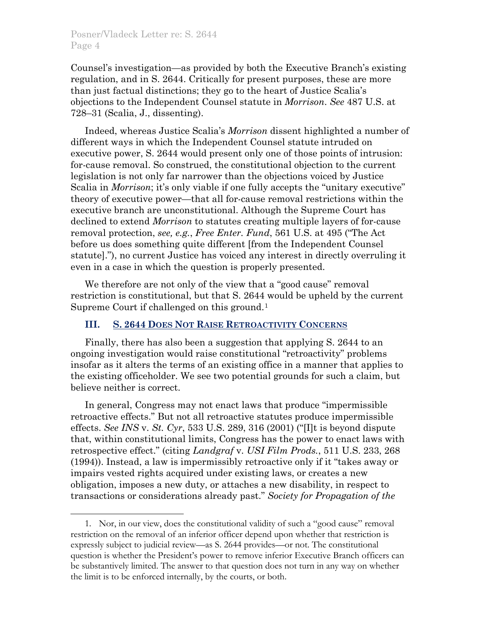$\overline{a}$ 

Counsel's investigation—as provided by both the Executive Branch's existing regulation, and in S. 2644. Critically for present purposes, these are more than just factual distinctions; they go to the heart of Justice Scalia's objections to the Independent Counsel statute in *Morrison*. *See* 487 U.S. at 728–31 (Scalia, J., dissenting).

Indeed, whereas Justice Scalia's *Morrison* dissent highlighted a number of different ways in which the Independent Counsel statute intruded on executive power, S. 2644 would present only one of those points of intrusion: for-cause removal. So construed, the constitutional objection to the current legislation is not only far narrower than the objections voiced by Justice Scalia in *Morrison*; it's only viable if one fully accepts the "unitary executive" theory of executive power—that all for-cause removal restrictions within the executive branch are unconstitutional. Although the Supreme Court has declined to extend *Morrison* to statutes creating multiple layers of for-cause removal protection, *see, e.g.*, *Free Enter. Fund*, 561 U.S. at 495 ("The Act before us does something quite different [from the Independent Counsel statute]."), no current Justice has voiced any interest in directly overruling it even in a case in which the question is properly presented.

We therefore are not only of the view that a "good cause" removal restriction is constitutional, but that S. 2644 would be upheld by the current Supreme Court if challenged on this ground.[1](#page-3-0)

# **III. S. 2644 DOES NOT RAISE RETROACTIVITY CONCERNS**

Finally, there has also been a suggestion that applying S. 2644 to an ongoing investigation would raise constitutional "retroactivity" problems insofar as it alters the terms of an existing office in a manner that applies to the existing officeholder. We see two potential grounds for such a claim, but believe neither is correct.

In general, Congress may not enact laws that produce "impermissible retroactive effects." But not all retroactive statutes produce impermissible effects. *See INS* v. *St. Cyr*, 533 U.S. 289, 316 (2001) ("[I]t is beyond dispute that, within constitutional limits, Congress has the power to enact laws with retrospective effect." (citing *Landgraf* v. *USI Film Prods.*, 511 U.S. 233, 268 (1994)). Instead, a law is impermissibly retroactive only if it "takes away or impairs vested rights acquired under existing laws, or creates a new obligation, imposes a new duty, or attaches a new disability, in respect to transactions or considerations already past." *Society for Propagation of the* 

<span id="page-3-0"></span><sup>1.</sup> Nor, in our view, does the constitutional validity of such a "good cause" removal restriction on the removal of an inferior officer depend upon whether that restriction is expressly subject to judicial review—as S. 2644 provides—or not. The constitutional question is whether the President's power to remove inferior Executive Branch officers can be substantively limited. The answer to that question does not turn in any way on whether the limit is to be enforced internally, by the courts, or both.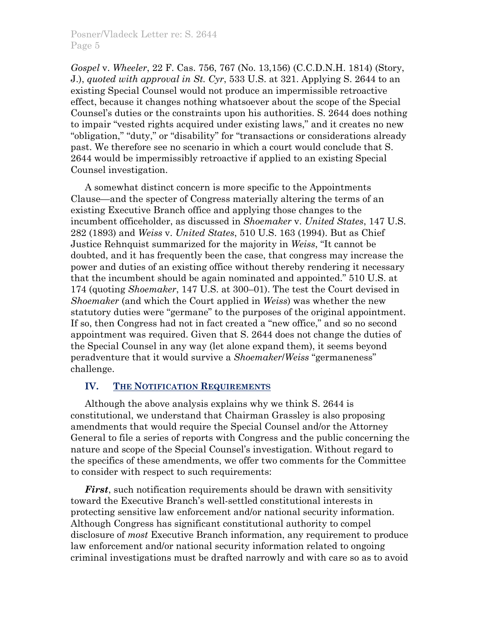*Gospel* v. *Wheeler*, 22 F. Cas. 756, 767 (No. 13,156) (C.C.D.N.H. 1814) (Story, J.), *quoted with approval in St. Cyr*, 533 U.S. at 321. Applying S. 2644 to an existing Special Counsel would not produce an impermissible retroactive effect, because it changes nothing whatsoever about the scope of the Special Counsel's duties or the constraints upon his authorities. S. 2644 does nothing to impair "vested rights acquired under existing laws," and it creates no new "obligation," "duty," or "disability" for "transactions or considerations already past. We therefore see no scenario in which a court would conclude that S. 2644 would be impermissibly retroactive if applied to an existing Special Counsel investigation.

A somewhat distinct concern is more specific to the Appointments Clause—and the specter of Congress materially altering the terms of an existing Executive Branch office and applying those changes to the incumbent officeholder, as discussed in *Shoemaker* v. *United States*, 147 U.S. 282 (1893) and *Weiss* v. *United States*, 510 U.S. 163 (1994). But as Chief Justice Rehnquist summarized for the majority in *Weiss*, "It cannot be doubted, and it has frequently been the case, that congress may increase the power and duties of an existing office without thereby rendering it necessary that the incumbent should be again nominated and appointed." 510 U.S. at 174 (quoting *Shoemaker*, 147 U.S. at 300–01). The test the Court devised in *Shoemaker* (and which the Court applied in *Weiss*) was whether the new statutory duties were "germane" to the purposes of the original appointment. If so, then Congress had not in fact created a "new office," and so no second appointment was required. Given that S. 2644 does not change the duties of the Special Counsel in any way (let alone expand them), it seems beyond peradventure that it would survive a *Shoemaker*/*Weiss* "germaneness" challenge.

# **IV. THE NOTIFICATION REQUIREMENTS**

Although the above analysis explains why we think S. 2644 is constitutional, we understand that Chairman Grassley is also proposing amendments that would require the Special Counsel and/or the Attorney General to file a series of reports with Congress and the public concerning the nature and scope of the Special Counsel's investigation. Without regard to the specifics of these amendments, we offer two comments for the Committee to consider with respect to such requirements:

*First*, such notification requirements should be drawn with sensitivity toward the Executive Branch's well-settled constitutional interests in protecting sensitive law enforcement and/or national security information. Although Congress has significant constitutional authority to compel disclosure of *most* Executive Branch information, any requirement to produce law enforcement and/or national security information related to ongoing criminal investigations must be drafted narrowly and with care so as to avoid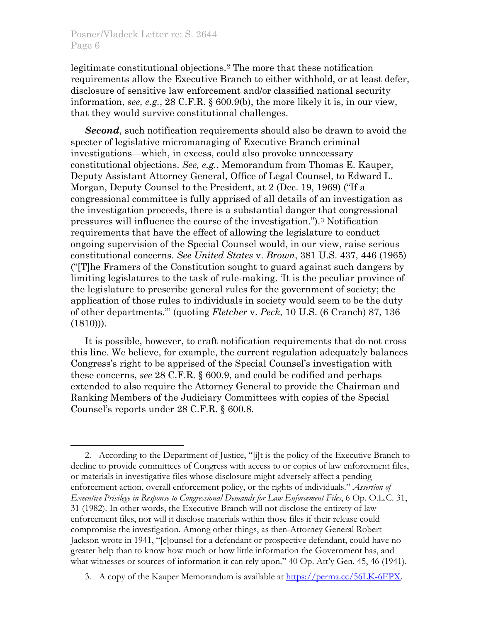$\overline{a}$ 

legitimate constitutional objections.[2](#page-5-0) The more that these notification requirements allow the Executive Branch to either withhold, or at least defer, disclosure of sensitive law enforcement and/or classified national security information, *see, e.g.*, 28 C.F.R. § 600.9(b), the more likely it is, in our view, that they would survive constitutional challenges.

*Second*, such notification requirements should also be drawn to avoid the specter of legislative micromanaging of Executive Branch criminal investigations—which, in excess, could also provoke unnecessary constitutional objections. *See, e.g.*, Memorandum from Thomas E. Kauper, Deputy Assistant Attorney General, Office of Legal Counsel, to Edward L. Morgan, Deputy Counsel to the President, at 2 (Dec. 19, 1969) ("If a congressional committee is fully apprised of all details of an investigation as the investigation proceeds, there is a substantial danger that congressional pressures will influence the course of the investigation.").[3](#page-5-1) Notification requirements that have the effect of allowing the legislature to conduct ongoing supervision of the Special Counsel would, in our view, raise serious constitutional concerns. *See United States* v. *Brown*, 381 U.S. 437, 446 (1965) ("[T]he Framers of the Constitution sought to guard against such dangers by limiting legislatures to the task of rule-making. 'It is the peculiar province of the legislature to prescribe general rules for the government of society; the application of those rules to individuals in society would seem to be the duty of other departments.'" (quoting *Fletcher* v. *Peck*, 10 U.S. (6 Cranch) 87, 136  $(1810))$ .

It is possible, however, to craft notification requirements that do not cross this line. We believe, for example, the current regulation adequately balances Congress's right to be apprised of the Special Counsel's investigation with these concerns, *see* 28 C.F.R. § 600.9, and could be codified and perhaps extended to also require the Attorney General to provide the Chairman and Ranking Members of the Judiciary Committees with copies of the Special Counsel's reports under 28 C.F.R. § 600.8.

<span id="page-5-0"></span><sup>2.</sup> According to the Department of Justice, "[i]t is the policy of the Executive Branch to decline to provide committees of Congress with access to or copies of law enforcement files, or materials in investigative files whose disclosure might adversely affect a pending enforcement action, overall enforcement policy, or the rights of individuals." *Assertion of Executive Privilege in Response to Congressional Demands for Law Enforcement Files*, 6 Op. O.L.C. 31, 31 (1982). In other words, the Executive Branch will not disclose the entirety of law enforcement files, nor will it disclose materials within those files if their release could compromise the investigation. Among other things, as then-Attorney General Robert Jackson wrote in 1941, "[c]ounsel for a defendant or prospective defendant, could have no greater help than to know how much or how little information the Government has, and what witnesses or sources of information it can rely upon." 40 Op. Att'y Gen. 45, 46 (1941).

<span id="page-5-1"></span><sup>3.</sup> A copy of the Kauper Memorandum is available at [https://perma.cc/56LK-6EPX.](https://perma.cc/56LK-6EPX)